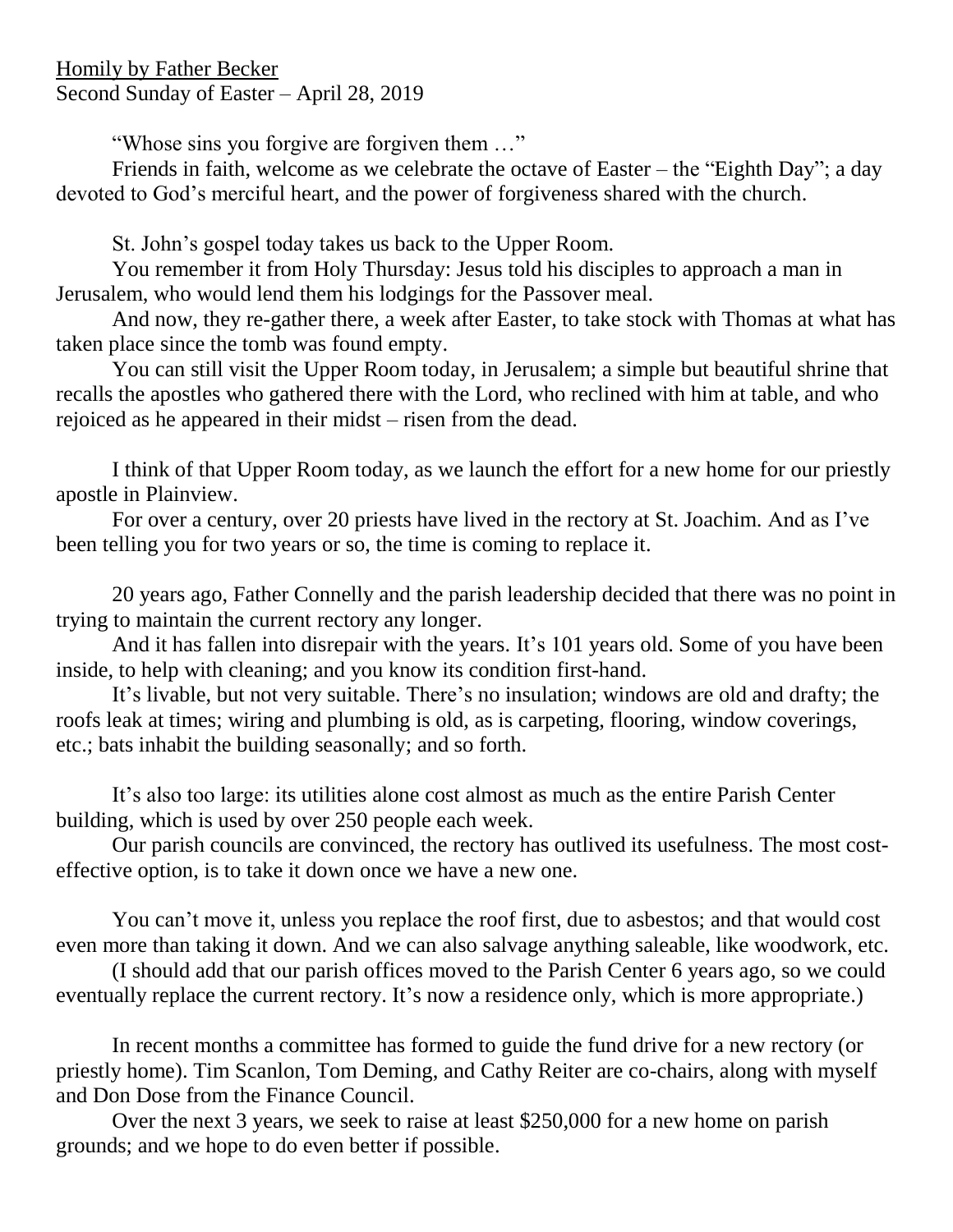Homily by Father Becker Second Sunday of Easter – April 28, 2019

"Whose sins you forgive are forgiven them …"

Friends in faith, welcome as we celebrate the octave of Easter – the "Eighth Day"; a day devoted to God's merciful heart, and the power of forgiveness shared with the church.

St. John's gospel today takes us back to the Upper Room.

You remember it from Holy Thursday: Jesus told his disciples to approach a man in Jerusalem, who would lend them his lodgings for the Passover meal.

And now, they re-gather there, a week after Easter, to take stock with Thomas at what has taken place since the tomb was found empty.

You can still visit the Upper Room today, in Jerusalem; a simple but beautiful shrine that recalls the apostles who gathered there with the Lord, who reclined with him at table, and who rejoiced as he appeared in their midst – risen from the dead.

I think of that Upper Room today, as we launch the effort for a new home for our priestly apostle in Plainview.

For over a century, over 20 priests have lived in the rectory at St. Joachim. And as I've been telling you for two years or so, the time is coming to replace it.

20 years ago, Father Connelly and the parish leadership decided that there was no point in trying to maintain the current rectory any longer.

And it has fallen into disrepair with the years. It's 101 years old. Some of you have been inside, to help with cleaning; and you know its condition first-hand.

It's livable, but not very suitable. There's no insulation; windows are old and drafty; the roofs leak at times; wiring and plumbing is old, as is carpeting, flooring, window coverings, etc.; bats inhabit the building seasonally; and so forth.

It's also too large: its utilities alone cost almost as much as the entire Parish Center building, which is used by over 250 people each week.

Our parish councils are convinced, the rectory has outlived its usefulness. The most costeffective option, is to take it down once we have a new one.

You can't move it, unless you replace the roof first, due to asbestos; and that would cost even more than taking it down. And we can also salvage anything saleable, like woodwork, etc.

(I should add that our parish offices moved to the Parish Center 6 years ago, so we could eventually replace the current rectory. It's now a residence only, which is more appropriate.)

In recent months a committee has formed to guide the fund drive for a new rectory (or priestly home). Tim Scanlon, Tom Deming, and Cathy Reiter are co-chairs, along with myself and Don Dose from the Finance Council.

Over the next 3 years, we seek to raise at least \$250,000 for a new home on parish grounds; and we hope to do even better if possible.